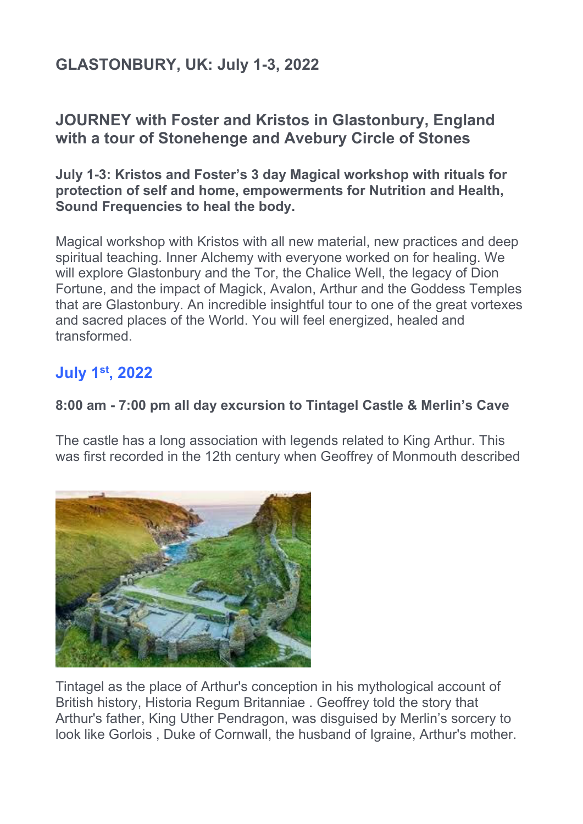# **GLASTONBURY, UK: July 1-3, 2022**

## **JOURNEY with Foster and Kristos in Glastonbury, England with a tour of Stonehenge and Avebury Circle of Stones**

**July 1-3: Kristos and Foster's 3 day Magical workshop with rituals for protection of self and home, empowerments for Nutrition and Health, Sound Frequencies to heal the body.** 

Magical workshop with Kristos with all new material, new practices and deep spiritual teaching. Inner Alchemy with everyone worked on for healing. We will explore Glastonbury and the Tor, the Chalice Well, the legacy of Dion Fortune, and the impact of Magick, Avalon, Arthur and the Goddess Temples that are Glastonbury. An incredible insightful tour to one of the great vortexes and sacred places of the World. You will feel energized, healed and transformed.

### **July 1st, 2022**

#### **8:00 am - 7:00 pm all day excursion to Tintagel Castle & Merlin's Cave**

The castle has a long association with legends related to King Arthur. This was first recorded in the 12th century when Geoffrey of Monmouth described



Tintagel as the place of Arthur's conception in his mythological account of British history, Historia Regum Britanniae . Geoffrey told the story that Arthur's father, King Uther Pendragon, was disguised by Merlin's sorcery to look like Gorlois , Duke of Cornwall, the husband of Igraine, Arthur's mother.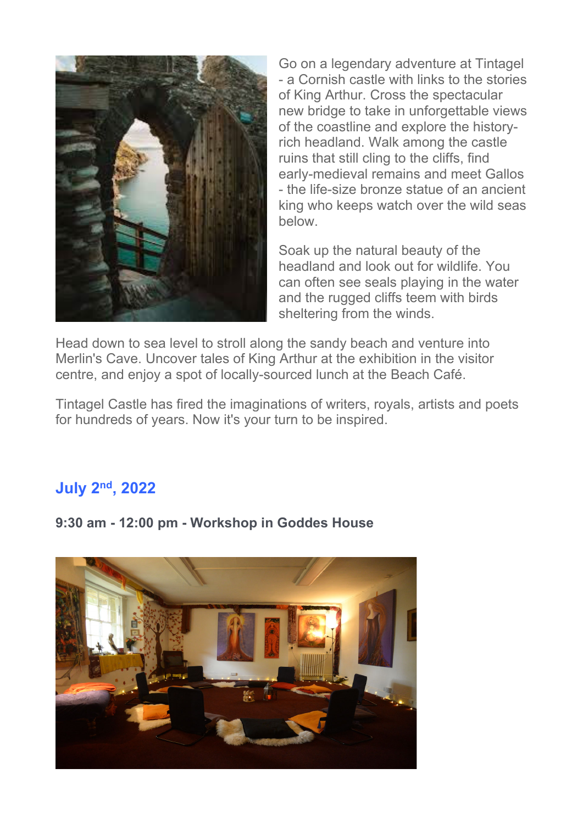

Go on a legendary adventure at Tintagel - a Cornish castle with links to the stories of King Arthur. Cross the spectacular new bridge to take in unforgettable views of the coastline and explore the historyrich headland. Walk among the castle ruins that still cling to the cliffs, find early-medieval remains and meet Gallos - the life-size bronze statue of an ancient king who keeps watch over the wild seas below.

Soak up the natural beauty of the headland and look out for wildlife. You can often see seals playing in the water and the rugged cliffs teem with birds sheltering from the winds.

Head down to sea level to stroll along the sandy beach and venture into Merlin's Cave. Uncover tales of King Arthur at the exhibition in the visitor centre, and enjoy a spot of locally-sourced lunch at the Beach Café.

Tintagel Castle has fired the imaginations of writers, royals, artists and poets for hundreds of years. Now it's your turn to be inspired.

### **July 2nd, 2022**



**9:30 am - 12:00 pm - Workshop in Goddes House**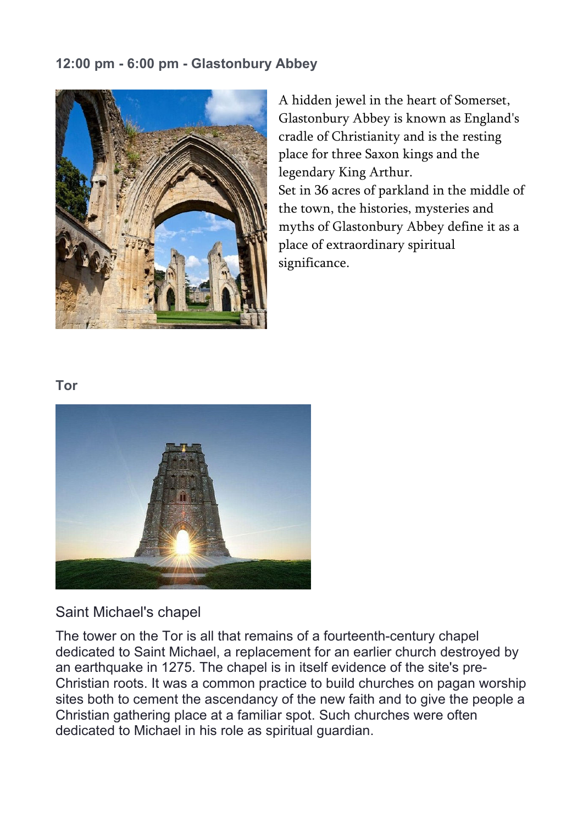#### **12:00 pm - 6:00 pm - Glastonbury Abbey**



A hidden jewel in the heart of Somerset, Glastonbury Abbey is known as England's cradle of Christianity and is the resting place for three Saxon kings and the legendary King Arthur. Set in 36 acres of parkland in the middle of the town, the histories, mysteries and myths of Glastonbury Abbey define it as a place of extraordinary spiritual significance.

#### **Tor**



#### Saint Michael's chapel

The tower on the Tor is all that remains of a fourteenth-century chapel dedicated to Saint Michael, a replacement for an earlier church destroyed by an earthquake in 1275. The chapel is in itself evidence of the site's pre-Christian roots. It was a common practice to build churches on pagan worship sites both to cement the ascendancy of the new faith and to give the people a Christian gathering place at a familiar spot. Such churches were often dedicated to Michael in his role as spiritual guardian.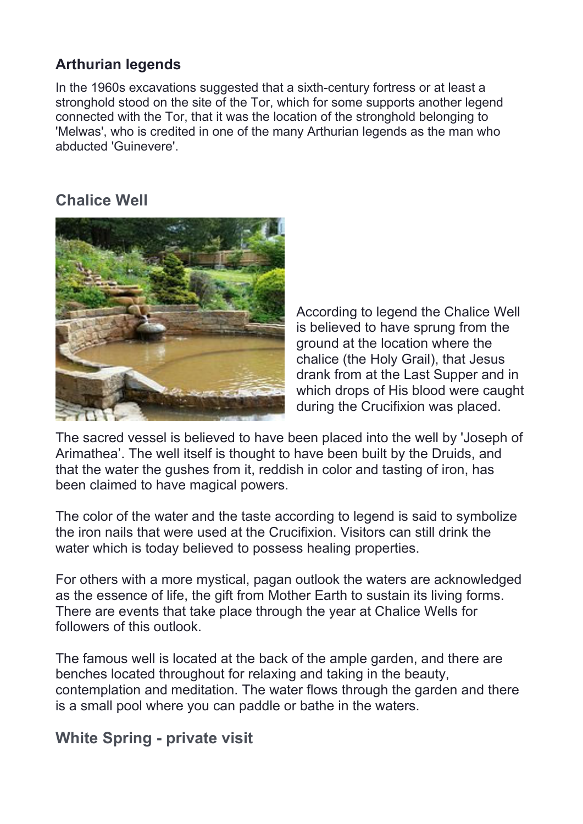### **Arthurian legends**

In the 1960s excavations suggested that a sixth-century fortress or at least a stronghold stood on the site of the Tor, which for some supports another legend connected with the Tor, that it was the location of the stronghold belonging to 'Melwas', who is credited in one of the many Arthurian legends as the man who abducted 'Guinevere'.

## **Chalice Well**



According to legend the Chalice Well is believed to have sprung from the ground at the location where the chalice (the Holy Grail), that Jesus drank from at the Last Supper and in which drops of His blood were caught during the Crucifixion was placed.

The sacred vessel is believed to have been placed into the well by 'Joseph of Arimathea'. The well itself is thought to have been built by the Druids, and that the water the gushes from it, reddish in color and tasting of iron, has been claimed to have magical powers.

The color of the water and the taste according to legend is said to symbolize the iron nails that were used at the Crucifixion. Visitors can still drink the water which is today believed to possess healing properties.

For others with a more mystical, pagan outlook the waters are acknowledged as the essence of life, the gift from Mother Earth to sustain its living forms. There are events that take place through the year at Chalice Wells for followers of this outlook.

The famous well is located at the back of the ample garden, and there are benches located throughout for relaxing and taking in the beauty, contemplation and meditation. The water flows through the garden and there is a small pool where you can paddle or bathe in the waters.

### **White Spring - private visit**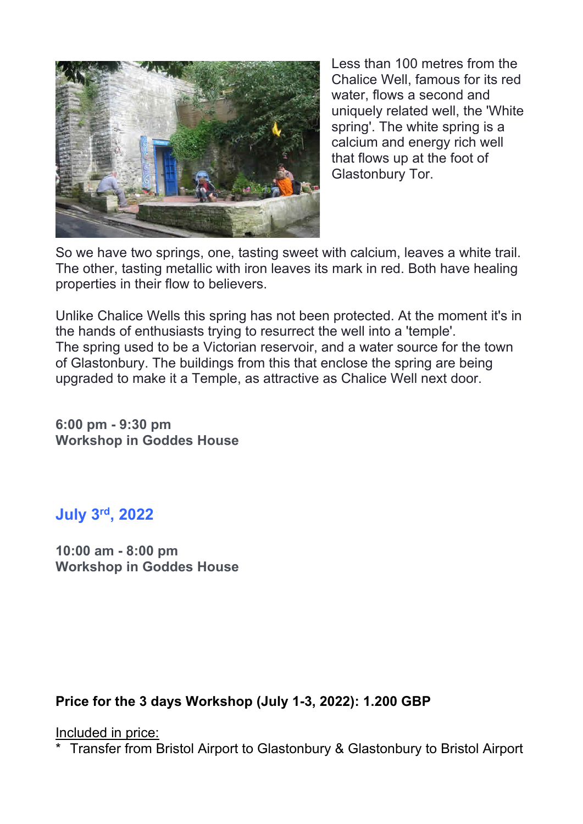

Less than 100 metres from the Chalice Well, famous for its red water, flows a second and uniquely related well, the 'White spring'. The white spring is a calcium and energy rich well that flows up at the foot of Glastonbury Tor.

So we have two springs, one, tasting sweet with calcium, leaves a white trail. The other, tasting metallic with iron leaves its mark in red. Both have healing properties in their flow to believers.

Unlike Chalice Wells this spring has not been protected. At the moment it's in the hands of enthusiasts trying to resurrect the well into a 'temple'. The spring used to be a Victorian reservoir, and a water source for the town of Glastonbury. The buildings from this that enclose the spring are being upgraded to make it a Temple, as attractive as Chalice Well next door.

**6:00 pm - 9:30 pm Workshop in Goddes House** 

### **July 3rd, 2022**

**10:00 am - 8:00 pm Workshop in Goddes House** 

### **Price for the 3 days Workshop (July 1-3, 2022): 1.200 GBP**

Included in price:

\* Transfer from Bristol Airport to Glastonbury & Glastonbury to Bristol Airport